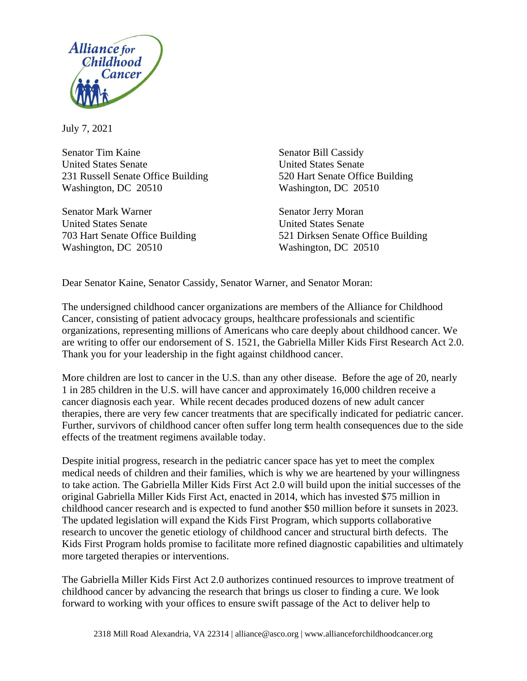

July 7, 2021

Senator Tim Kaine Senator Bill Cassidy United States Senate United States Senate 231 Russell Senate Office Building 520 Hart Senate Office Building Washington, DC 20510 Washington, DC 20510

Senator Mark Warner Senator Jerry Moran United States Senate United States Senate Washington, DC 20510 Washington, DC 20510

703 Hart Senate Office Building 521 Dirksen Senate Office Building

Dear Senator Kaine, Senator Cassidy, Senator Warner, and Senator Moran:

The undersigned childhood cancer organizations are members of the Alliance for Childhood Cancer, consisting of patient advocacy groups, healthcare professionals and scientific organizations, representing millions of Americans who care deeply about childhood cancer. We are writing to offer our endorsement of S. 1521, the Gabriella Miller Kids First Research Act 2.0. Thank you for your leadership in the fight against childhood cancer.

More children are lost to cancer in the U.S. than any other disease. Before the age of 20, nearly 1 in 285 children in the U.S. will have cancer and approximately 16,000 children receive a cancer diagnosis each year. While recent decades produced dozens of new adult cancer therapies, there are very few cancer treatments that are specifically indicated for pediatric cancer. Further, survivors of childhood cancer often suffer long term health consequences due to the side effects of the treatment regimens available today.

Despite initial progress, research in the pediatric cancer space has yet to meet the complex medical needs of children and their families, which is why we are heartened by your willingness to take action. The Gabriella Miller Kids First Act 2.0 will build upon the initial successes of the original Gabriella Miller Kids First Act, enacted in 2014, which has invested \$75 million in childhood cancer research and is expected to fund another \$50 million before it sunsets in 2023. The updated legislation will expand the Kids First Program, which supports collaborative research to uncover the genetic etiology of childhood cancer and structural birth defects. The Kids First Program holds promise to facilitate more refined diagnostic capabilities and ultimately more targeted therapies or interventions.

The Gabriella Miller Kids First Act 2.0 authorizes continued resources to improve treatment of childhood cancer by advancing the research that brings us closer to finding a cure. We look forward to working with your offices to ensure swift passage of the Act to deliver help to